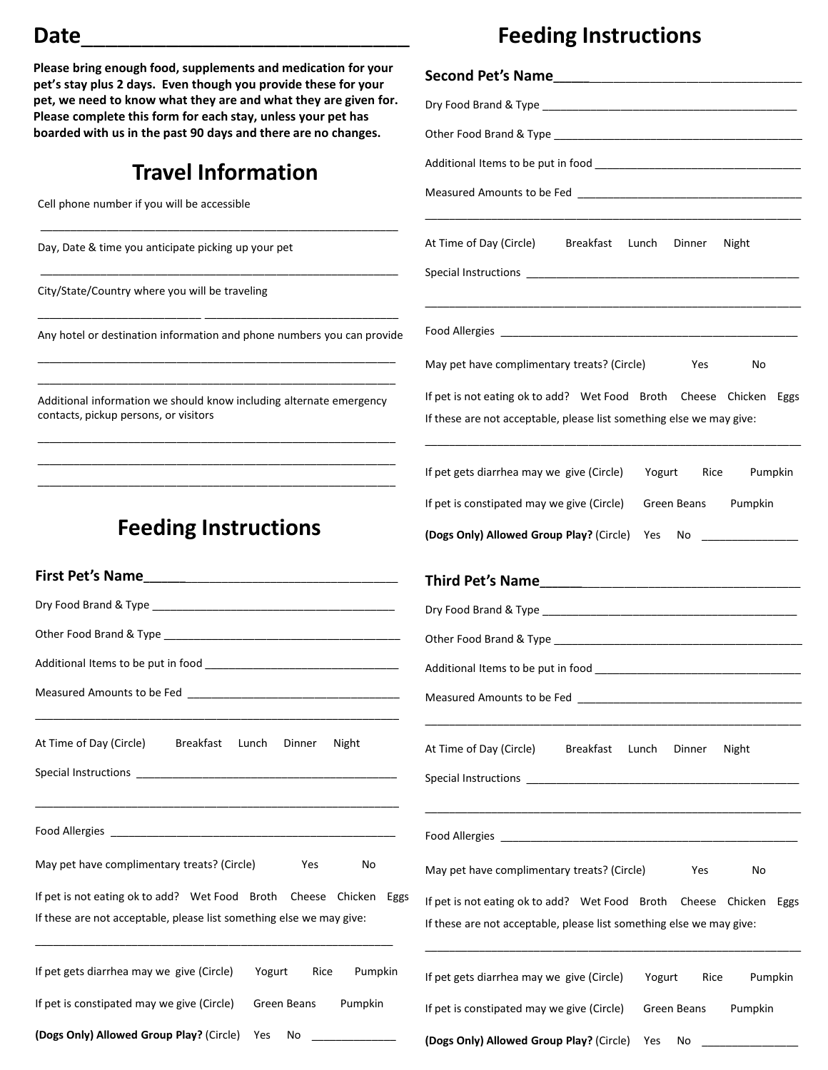#### **Date**\_\_\_\_\_\_\_\_\_\_\_\_\_\_\_\_\_\_\_\_\_\_\_\_\_\_\_

**Please bring enough food, supplements and medication for your pet's stay plus 2 days. Even though you provide these for your pet, we need to know what they are and what they are given for. Please complete this form for each stay, unless your pet has boarded with us in the past 90 days and there are no changes.** 

## **Travel Information**

\_\_\_\_\_\_\_\_\_\_\_\_\_\_\_\_\_\_\_\_\_\_\_\_\_\_\_\_\_\_\_\_\_\_\_\_\_\_\_\_\_\_\_\_\_\_\_\_\_\_\_\_\_\_\_\_\_\_\_

\_\_\_\_\_\_\_\_\_\_\_\_\_\_\_\_\_\_\_\_\_\_\_\_\_\_\_\_\_\_\_\_\_\_\_\_\_\_\_\_\_\_\_\_\_\_\_\_\_\_\_\_\_\_\_\_\_\_\_

Cell phone number if you will be accessible

Day, Date & time you anticipate picking up your pet

City/State/Country where you will be traveling

\_\_\_\_\_\_\_\_\_\_\_\_\_\_\_\_\_\_\_\_\_\_\_\_\_\_\_ \_\_\_\_\_\_\_\_\_\_\_\_\_\_\_\_\_\_\_\_\_\_\_\_\_\_\_\_\_\_\_\_ Any hotel or destination information and phone numbers you can provide \_\_\_\_\_\_\_\_\_\_\_\_\_\_\_\_\_\_\_\_\_\_\_\_\_\_\_\_\_\_\_\_\_\_\_\_\_\_\_\_\_\_\_\_\_\_\_\_\_\_\_\_\_\_\_\_\_\_\_

Additional information we should know including alternate emergency contacts, pickup persons, or visitors

\_\_\_\_\_\_\_\_\_\_\_\_\_\_\_\_\_\_\_\_\_\_\_\_\_\_\_\_\_\_\_\_\_\_\_\_\_\_\_\_\_\_\_\_\_\_\_\_\_\_\_\_\_\_\_\_\_\_\_ \_\_\_\_\_\_\_\_\_\_\_\_\_\_\_\_\_\_\_\_\_\_\_\_\_\_\_\_\_\_\_\_\_\_\_\_\_\_\_\_\_\_\_\_\_\_\_\_\_\_\_\_\_\_\_\_\_\_\_ \_\_\_\_\_\_\_\_\_\_\_\_\_\_\_\_\_\_\_\_\_\_\_\_\_\_\_\_\_\_\_\_\_\_\_\_\_\_\_\_\_\_\_\_\_\_\_\_\_\_\_\_\_\_\_\_\_\_\_

\_\_\_\_\_\_\_\_\_\_\_\_\_\_\_\_\_\_\_\_\_\_\_\_\_\_\_\_\_\_\_\_\_\_\_\_\_\_\_\_\_\_\_\_\_\_\_\_\_\_\_\_\_\_\_\_\_\_\_

## **Feeding Instructions**

| At Time of Day (Circle) Breakfast                                    | Lunch<br>Dinner<br>Night |
|----------------------------------------------------------------------|--------------------------|
|                                                                      |                          |
| May pet have complimentary treats? (Circle)                          | Yes<br>No                |
| If pet is not eating ok to add? Wet Food Broth Cheese Chicken        | Eggs                     |
| If these are not acceptable, please list something else we may give: |                          |
|                                                                      |                          |
| If pet gets diarrhea may we give (Circle)                            | Yogurt Rice Pumpkin      |
| If pet is constipated may we give (Circle)                           | Green Beans Pumpkin      |
| (Dogs Only) Allowed Group Play? (Circle) Yes                         | No _______________       |
|                                                                      |                          |

## **Feeding Instructions**

| At Time of Day (Circle) Breakfast Lunch Dinner Night                                                                                                                                                                                                                                      |
|-------------------------------------------------------------------------------------------------------------------------------------------------------------------------------------------------------------------------------------------------------------------------------------------|
|                                                                                                                                                                                                                                                                                           |
| May pet have complimentary treats? (Circle)<br>Yes<br>No                                                                                                                                                                                                                                  |
| If pet is not eating ok to add? Wet Food Broth Cheese Chicken Eggs<br>If these are not acceptable, please list something else we may give:                                                                                                                                                |
| If pet gets diarrhea may we give (Circle)<br>Yogurt Rice Pumpkin                                                                                                                                                                                                                          |
| If pet is constipated may we give (Circle)<br>Green Beans Pumpkin                                                                                                                                                                                                                         |
| (Dogs Only) Allowed Group Play? (Circle) Yes No _________________________________                                                                                                                                                                                                         |
|                                                                                                                                                                                                                                                                                           |
|                                                                                                                                                                                                                                                                                           |
|                                                                                                                                                                                                                                                                                           |
|                                                                                                                                                                                                                                                                                           |
| Measured Amounts to be Fed<br><u> Letting and the contract of the set of the set of the set of the set of the set of the set of the set of the set of the set of the set of the set of the set of the set of the set of the set o</u>                                                     |
| At Time of Day (Circle) Breakfast Lunch Dinner<br>Night<br>Special Instructions and the state of the state of the state of the state of the state of the state of the state of the state of the state of the state of the state of the state of the state of the state of the state of th |
|                                                                                                                                                                                                                                                                                           |
| May pet have complimentary treats? (Circle)<br>No<br>Yes                                                                                                                                                                                                                                  |
| If pet is not eating ok to add? Wet Food Broth Cheese Chicken Eggs<br>If these are not acceptable, please list something else we may give:                                                                                                                                                |
| If pet gets diarrhea may we give (Circle)<br>Yogurt<br>Rice<br>Pumpkin                                                                                                                                                                                                                    |
| If pet is constipated may we give (Circle)<br>Pumpkin<br>Green Beans                                                                                                                                                                                                                      |

**(Dogs Only) Allowed Group Play?** (Circle) Yes No \_\_\_\_\_\_\_\_\_\_\_\_\_\_\_\_